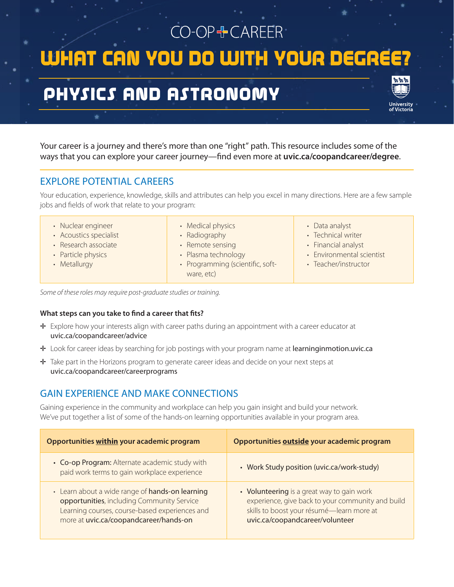CO-OP+CAREER WHAT CAN YOU DO WITH YOUR DEGRE

# PHYSICS AND ASTRONOMY

Your career is a journey and there's more than one "right" path. This resource includes some of the ways that you can explore your career journey—find even more at **uvic.ca/coopandcareer/degree**.

## EXPLORE POTENTIAL CAREERS

Your education, experience, knowledge, skills and attributes can help you excel in many directions. Here are a few sample jobs and fields of work that relate to your program:

- Nuclear engineer
- Acoustics specialist
- Research associate
- Particle physics
- Metallurgy
- Medical physics
- Radiography
- Remote sensing
- Plasma technology
- Programming (scientific, software, etc)
- Data analyst
- Technical writer
- Financial analyst
- Environmental scientist
- Teacher/instructor

*Some of these roles may require post-graduate studies or training.*

#### **What steps can you take to find a career that fits?**

- ✛ Explore how your interests align with career paths during an appointment with a career educator at uvic.ca/coopandcareer/advice
- ✛ Look for career ideas by searching for job postings with your program name at learninginmotion.uvic.ca
- ✛ Take part in the Horizons program to generate career ideas and decide on your next steps at uvic.ca/coopandcareer/careerprograms

## GAIN EXPERIENCE AND MAKE CONNECTIONS

Gaining experience in the community and workplace can help you gain insight and build your network. We've put together a list of some of the hands-on learning opportunities available in your program area.

| Opportunities within your academic program                                                                                                                                                | Opportunities outside your academic program                                                                                                                                     |
|-------------------------------------------------------------------------------------------------------------------------------------------------------------------------------------------|---------------------------------------------------------------------------------------------------------------------------------------------------------------------------------|
| • Co-op Program: Alternate academic study with<br>paid work terms to gain workplace experience                                                                                            | • Work Study position (uvic.ca/work-study)                                                                                                                                      |
| • Learn about a wide range of hands-on learning<br>opportunities, including Community Service<br>Learning courses, course-based experiences and<br>more at uvic.ca/coopandcareer/hands-on | • Volunteering is a great way to gain work<br>experience, give back to your community and build<br>skills to boost your résumé-learn more at<br>uvic.ca/coopandcareer/volunteer |